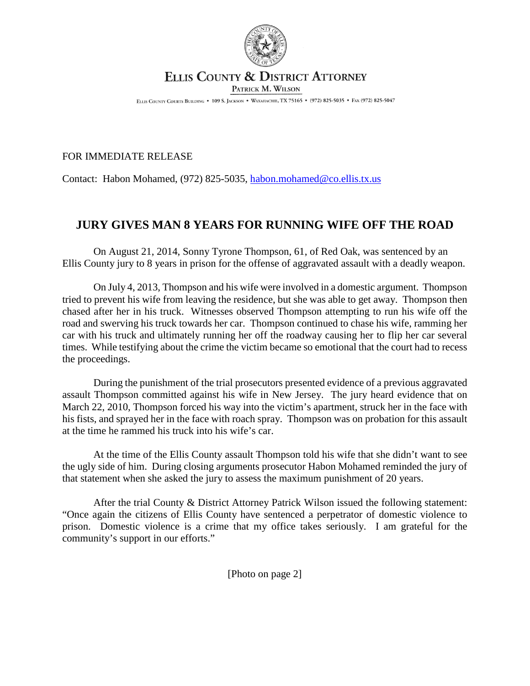

## **ELLIS COUNTY & DISTRICT ATTORNEY** PATRICK M. WILSON

ELLIS COUNTY COURTS BUILDING . 109 S. JACKSON . WAXAHACHIE, TX 75165 . (972) 825-5035 . FAX (972) 825-5047

## FOR IMMEDIATE RELEASE

Contact: Habon Mohamed, (972) 825-5035, habon.mohamed@co.ellis.tx.us

## **JURY GIVES MAN 8 YEARS FOR RUNNING WIFE OFF THE ROAD**

On August 21, 2014, Sonny Tyrone Thompson, 61, of Red Oak, was sentenced by an Ellis County jury to 8 years in prison for the offense of aggravated assault with a deadly weapon.

On July 4, 2013, Thompson and his wife were involved in a domestic argument. Thompson tried to prevent his wife from leaving the residence, but she was able to get away. Thompson then chased after her in his truck. Witnesses observed Thompson attempting to run his wife off the road and swerving his truck towards her car. Thompson continued to chase his wife, ramming her car with his truck and ultimately running her off the roadway causing her to flip her car several times. While testifying about the crime the victim became so emotional that the court had to recess the proceedings.

During the punishment of the trial prosecutors presented evidence of a previous aggravated assault Thompson committed against his wife in New Jersey. The jury heard evidence that on March 22, 2010, Thompson forced his way into the victim's apartment, struck her in the face with his fists, and sprayed her in the face with roach spray. Thompson was on probation for this assault at the time he rammed his truck into his wife's car.

At the time of the Ellis County assault Thompson told his wife that she didn't want to see the ugly side of him. During closing arguments prosecutor Habon Mohamed reminded the jury of that statement when she asked the jury to assess the maximum punishment of 20 years.

After the trial County & District Attorney Patrick Wilson issued the following statement: "Once again the citizens of Ellis County have sentenced a perpetrator of domestic violence to prison. Domestic violence is a crime that my office takes seriously. I am grateful for the community's support in our efforts."

[Photo on page 2]